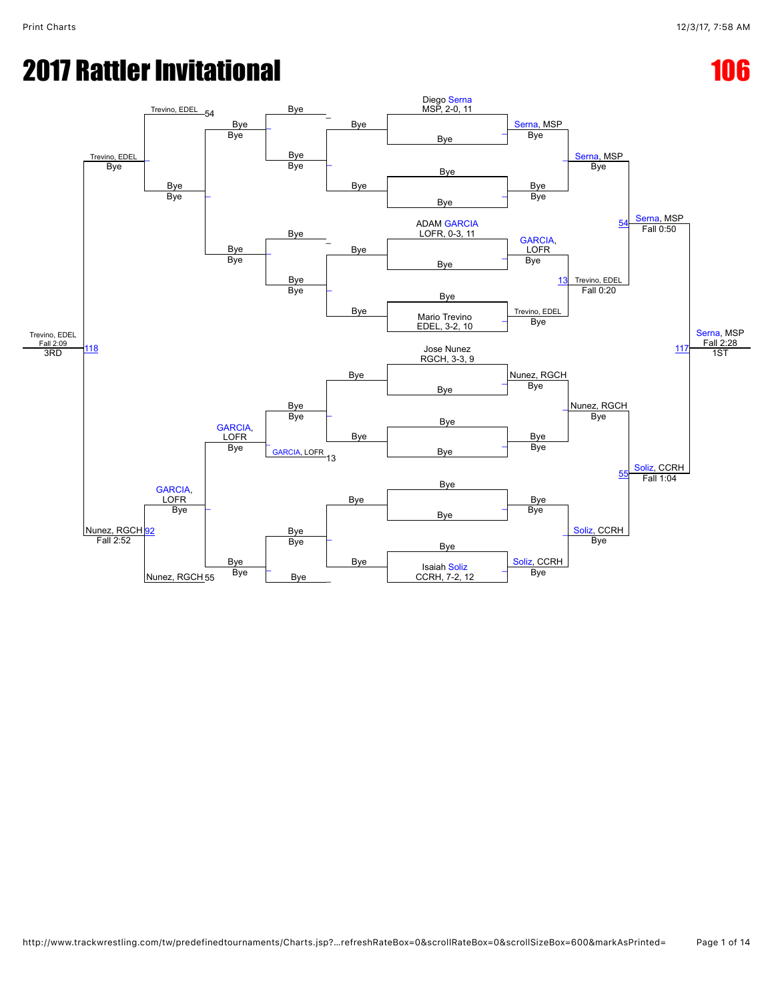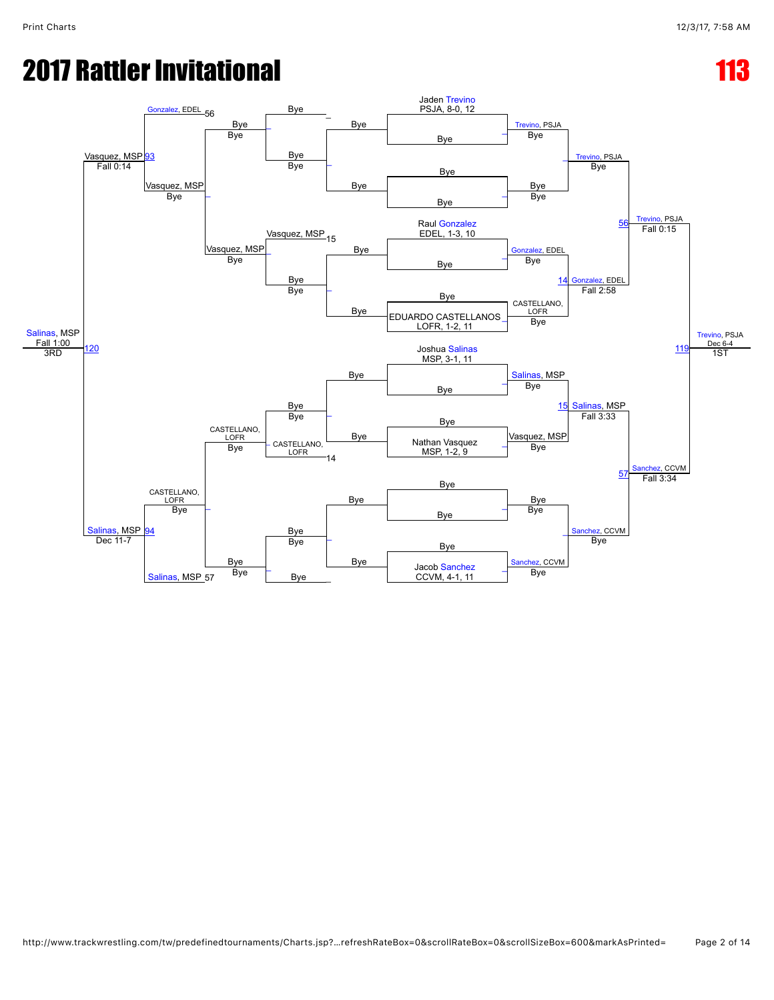# **2017 Rattler Invitational 113 and 113 and 113 and 113 and 113 and 113 and 113 and 113 and 113 and 113 and 113 and 113 and 113 and 113 and 113 and 113 and 113 and 113 and 113 and 113 and 113 and 113 and 113 and 113 and 113**

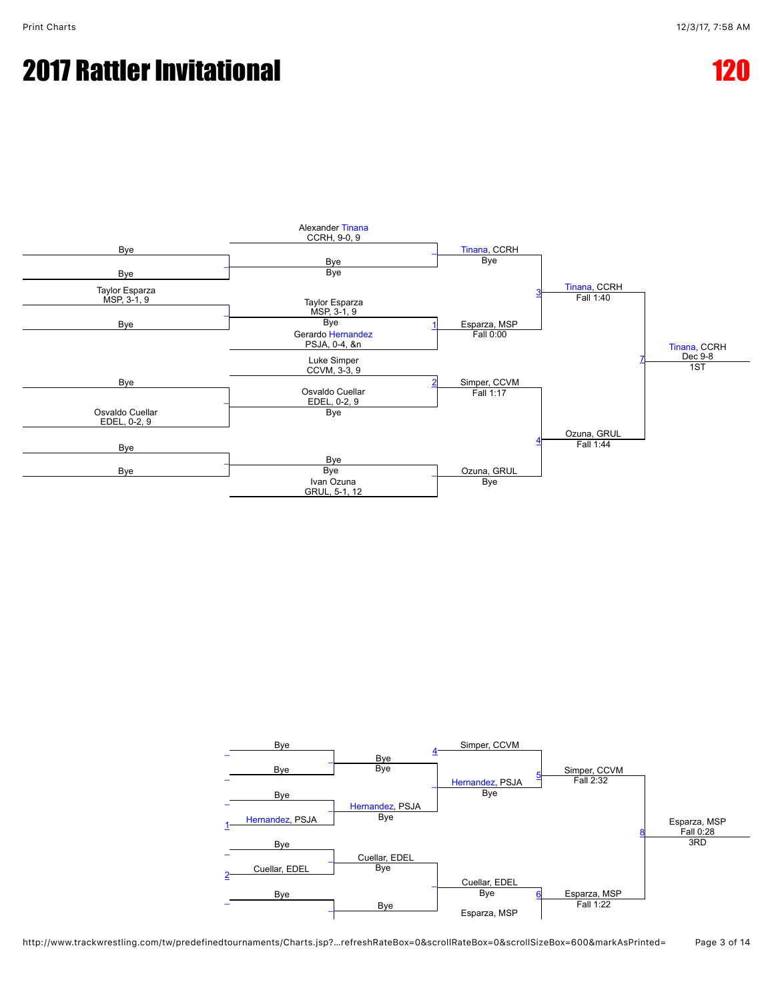

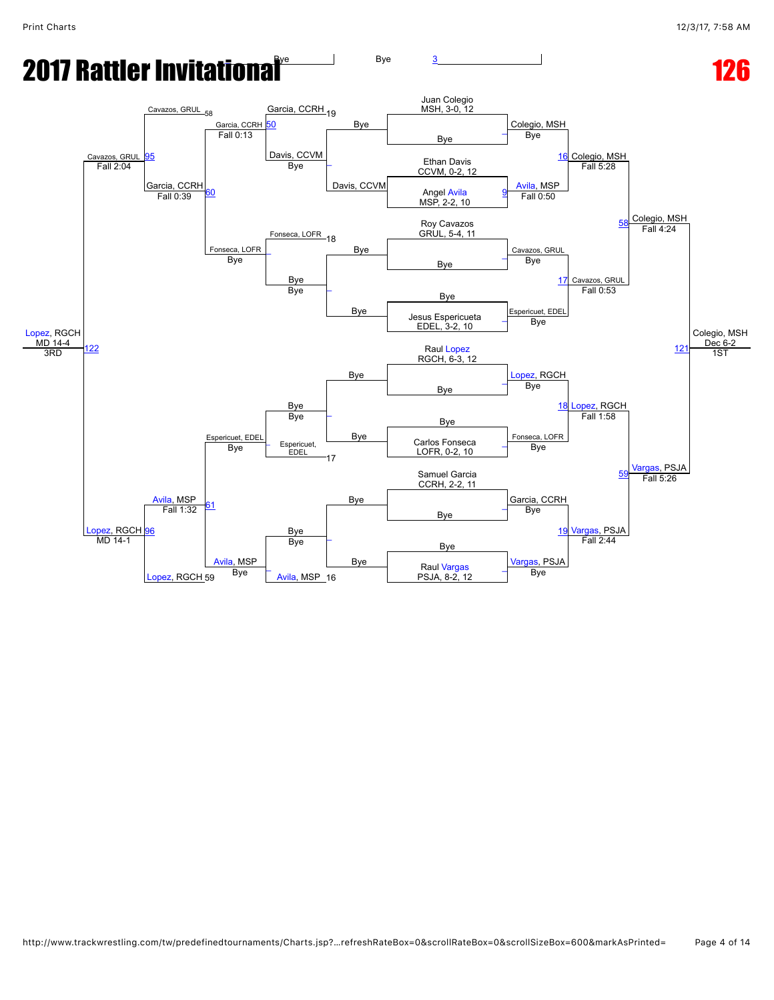#### **2017 Rattler Invitational Transformation**  $\frac{1}{26}$  Bye  $\frac{3}{2}$  $\frac{3}{2}$  $\frac{3}{2}$  Bye 126

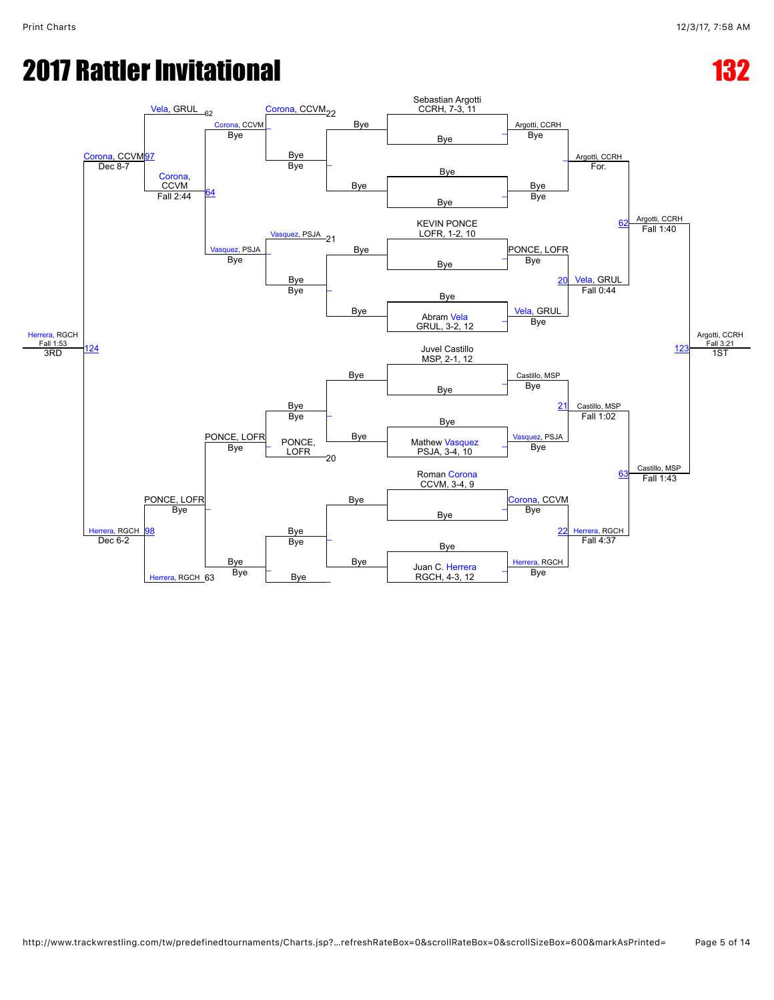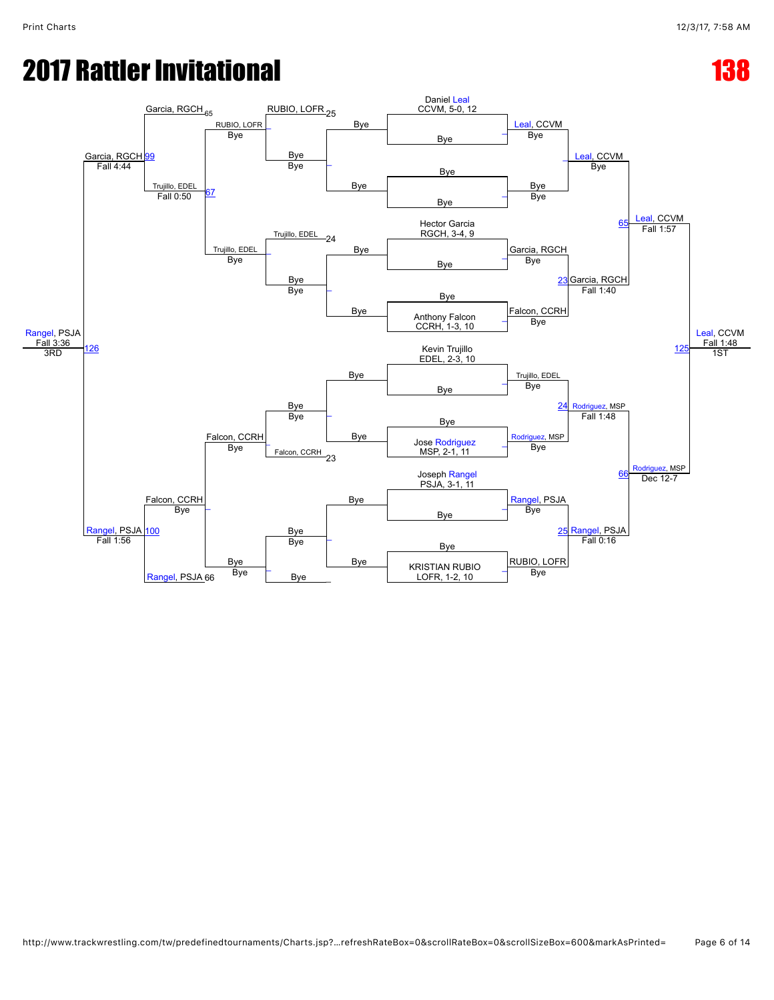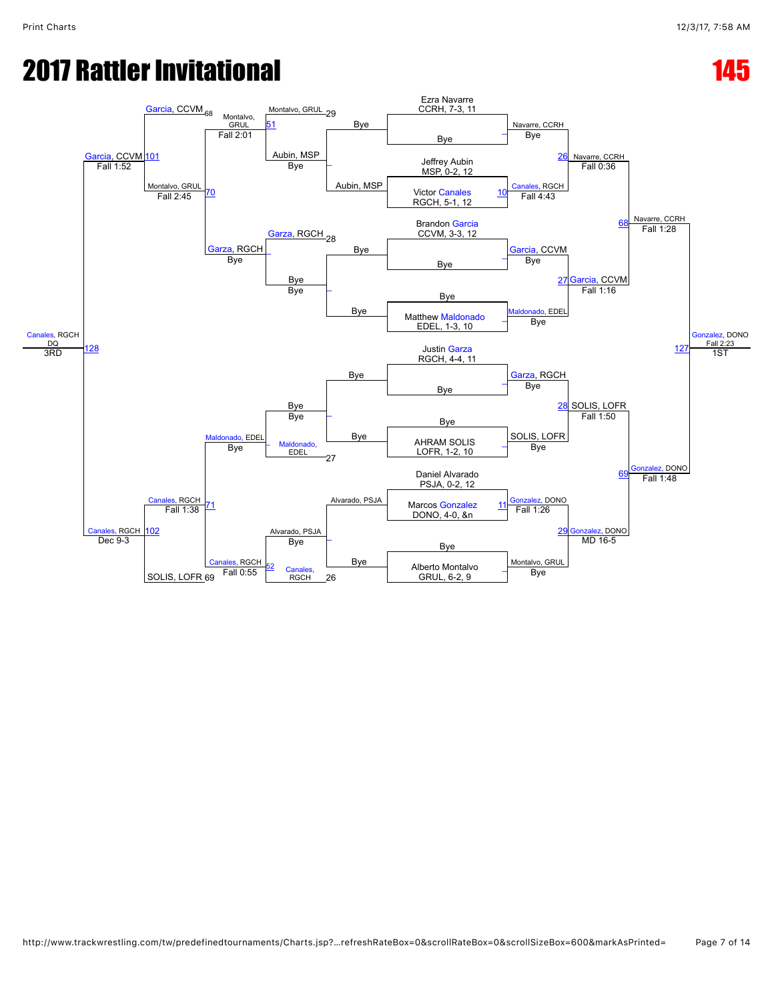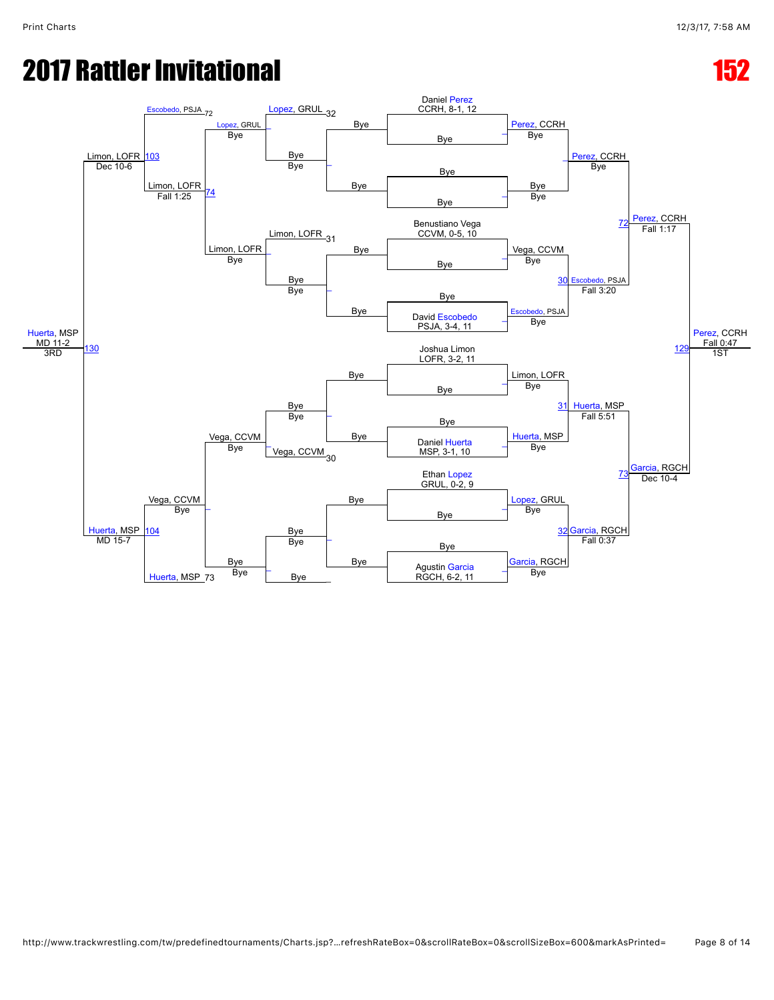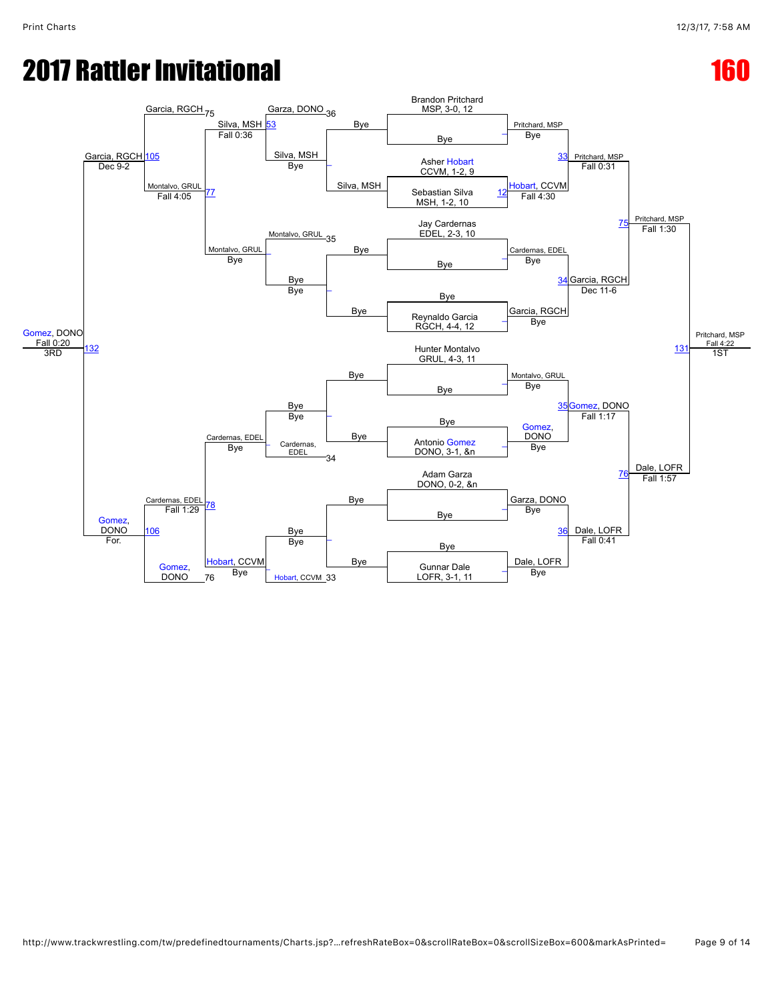## **2017 Rattler Invitational 160 and 160 and 160 and 160 and 160 and 160 and 160 and 160 and 160 and 160 and 160**

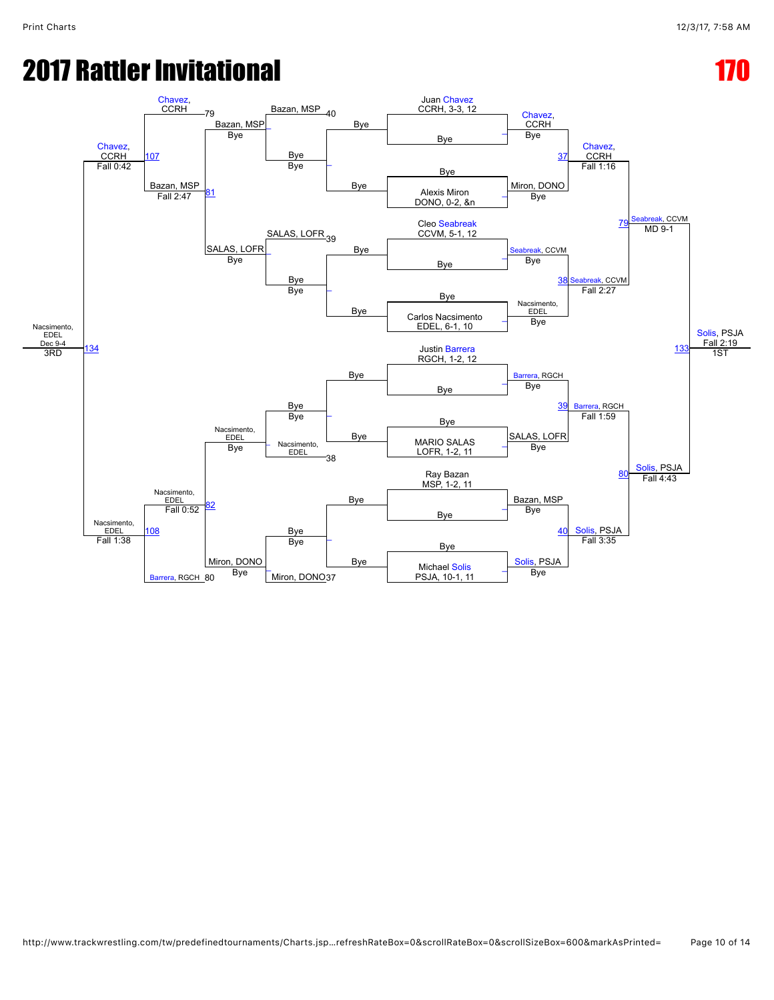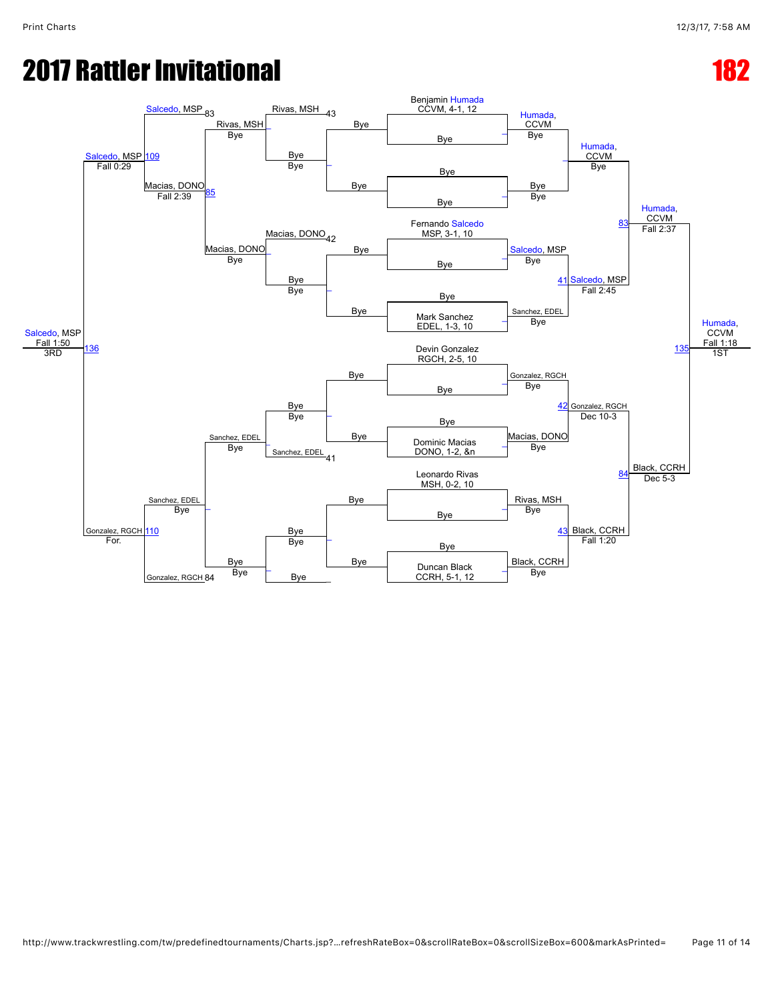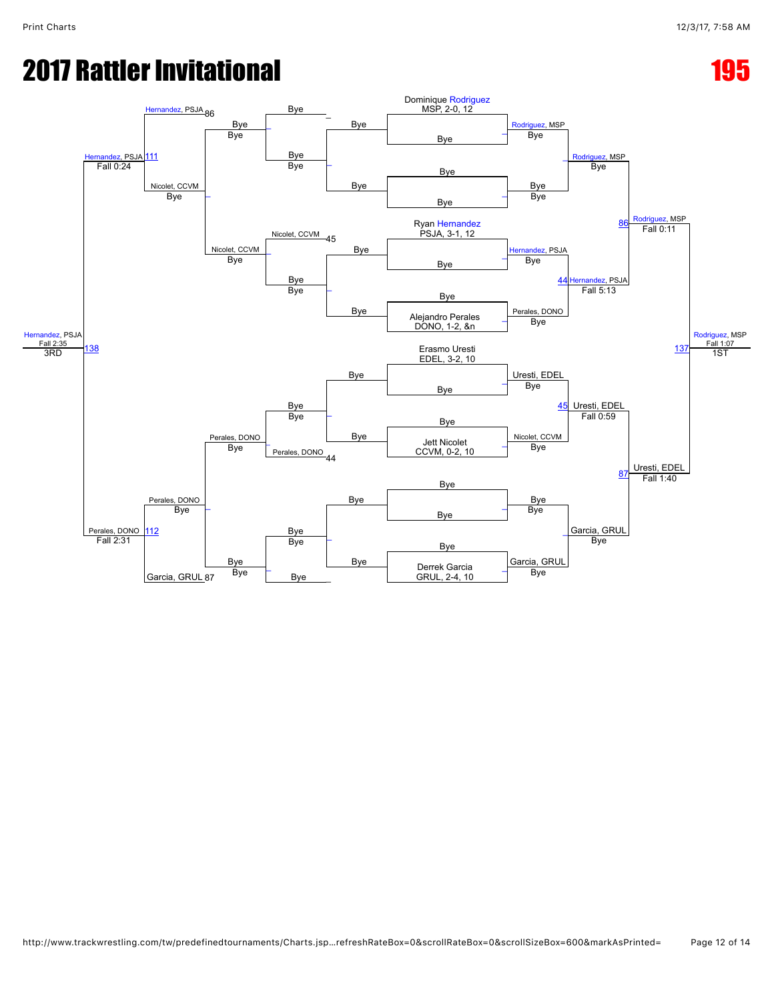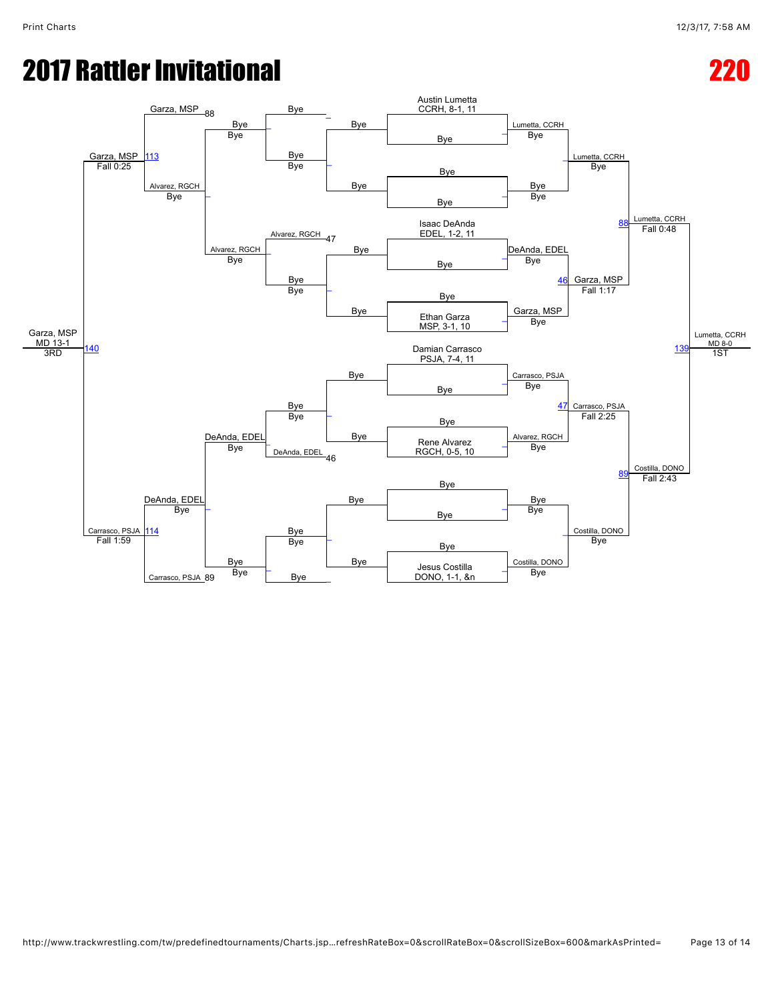